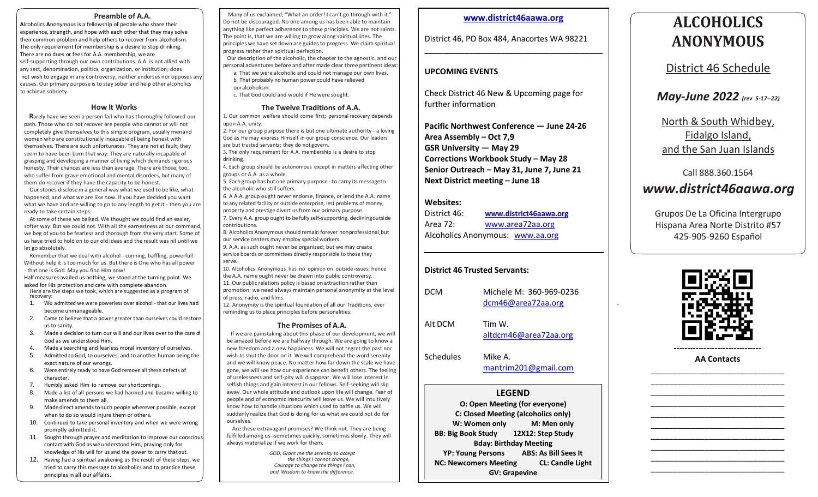#### **Preamble of A.A.**

**A**lcoholics **A**nonymous is a fellowship of people who share their experience, strength, and hope with each other that they may solve their common problem and help others to recover from alcoholism. The only requirement for membership is a desire to stop drinking. There are no dues or fees for A.A. membership, we are self-supporting through our own contributions. A.A. is not allied with any sect, denomination, politics, organization, or institution; does not wish to engage in any controversy, neither endorses nor opposes any causes. Our primary purpose is to stay sober and help other alcoholics to achieve sobriety.

### **How It Works**

**R**arely have we seen a person fail who has thoroughly followed our path. Those who do not recover are people who cannot or will not completely give themselves to this simple program, usually menand women who are constitutionally incapable of being honest with themselves. There are such unfortunates. They are not at fault; they seem to have been born that way. They are naturally incapable of grasping and developing a manner of living which demands rigorous honesty. Their chances are less than average. There are those, too, who suffer from grave emotional and mental disorders, but many of them do recover if they have the capacity to be honest.

Our stories disclose in a general way what we used to be like, what happened, and what we are like now. If you have decided you want what we have and are willing to go to any length to get it - then you are ready to take certain steps.

At some of these we balked. We thought we could find an easier, softer way. But we could not. With all the earnestness at our command, we beg of you to be fearless and thorough from the very start. Some of us have tried to hold on to our old ideas and the result was nil until we let go absolutely.

Remember that we deal with alcohol - cunning, baffling, powerful! Without help it is too much for us. But there is One who has all power - that one is God. May you find Him now!

Half measures availed us nothing, we stood at the turning point. We asked for His protection and care with complete abandon. Here are the steps we took, which are suggested as a program of recovery:

- 1. We admitted we were powerless over alcohol that our lives had become unmanageable.
- 2. Came to believe that a power greater than ourselves could restore us to sanity.
- 3. Made a decision to turn our will and our lives over to the care of God as we understood Him.
- 4. Made a searching and fearless moral inventory of ourselves.
- 5. Admitted toGod, to ourselves, and to another human being the exact nature of our wrongs.
- 6. Were entirely ready to have God remove all these defects of character.
- 7. Humbly asked Him to remove our shortcomings.
- 8. Made a list of all persons we had harmed and became willing to make amends to them all.
- 9. Made direct amendsto such people wherever possible, except when to do so would injure them or others.
- 10. Continued to take personal inventory and when we were wrong promptly admitted it.
- 11. Sought through prayer and meditation to improve our conscious contact with God as we understood Him, praying only for knowledge of His will for us and the power to carry thatout.
- 12. Having had a spiritual awakening as the result of these steps, we tried to carry this message to alcoholics and to practice these principles in all our affairs.

Many of us exclaimed, "What an order! I can't go through with it." Do not be discouraged. No one among us has been able to maintain anything like perfect adherence to these principles. We are not saints. The point is, that we are willing to grow along spiritual lines. The principles we have set down are guides to progress. We claim spiritual progress rather than spiritual perfection.

 Our description of the alcoholic, the chapter to the agnostic, and our personal adventures before and after made clear three pertinent ideas:

- a. That we were alcoholic and could not manage our own lives. b. That probably no human power could have relieved ouralcoholism.
- c. That God could and would if He were sought.

### **The Twelve Traditions of A.A.**

1. Our common welfare should come first; personal recovery depends upon A.A. unity.

2. For our group purpose there is but one ultimate authority - a loving God as He may express Himself in our group conscience. Our leaders are but trusted servants; they do not govern.

3. The only requirement for A.A. membership is a desire to stop drinking.

4. Each group should be autonomous except in matters affecting other groups or A.A. as a whole.

5. Each group has but one primary purpose - to carry its messageto the alcoholic who still suffers.

6. A A.A. group ought never endorse, finance, or lend the A.A. name to any related facility or outside enterprise, lest problems of money, property and prestige divert us from our primary purpose. 7. Every A.A. group ought to be fully self-supporting, decliningoutside contributions.

8. Alcoholics Anonymous should remain forever nonprofessional, but our service centers may employ special workers.

9. A.A. as such ought never be organized; but we may create service boards or committees directly responsible to those they serve.

10. Alcoholics Anonymous has no opinion on outside issues; hence the A.A. name ought never be drawn into public controversy. 11. Our public relations policy is based on attraction rather than promotion; we need always maintain personal anonymity at the level of press, radio, and films.

12. Anonymity is the spiritual foundation of all our Traditions, ever reminding us to place principles before personalities.

### **The Promises of A.A.**

 If we are painstaking about this phase of our development, we will be amazed before we are halfway through. We are going to know a new freedom and a new happiness. We will not regret the past nor wish to shut the door on it. We will comprehend the word serenity and we will know peace. No matter how far down the scale we have gone, we will see how our experience can benefit others. The feeling of uselessness and self-pity will disappear. We will lose interest in selfish things and gain interest in our fellows. Self-seeking will slip away. Our whole attitude and outlook upon life will change. Fear of people and of economic insecurity will leave us. We will intuitively know how to handle situations which used to baffle us. We will suddenly realize that God is doing for us what we could not do for ourselves.

Are these extravagant promises? We think not. They are being fulfilled among us--sometimes quickly, sometimes slowly. They will always materialize if we work for them.

> *GOD, Grant me the serenity to accept the things I cannot change, Courage to change the things I can, and Wisdom to know the difference.*

### **[www.district46aawa.org](http://www.district46aawa.org/)**

**\_\_\_\_\_\_\_\_\_\_\_\_\_\_\_\_\_\_\_\_\_\_\_\_\_\_\_\_\_\_\_\_\_\_\_\_\_\_\_\_**

District 46, PO Box 484, Anacortes WA 98221

### **UPCOMING EVENTS**

Check District 46 New & Upcoming page for further information

**Pacific Northwest Conference — June 24-26 Area Assembly – Oct 7,9 GSR University — May 29 Corrections Workbook Study – May 28 Senior Outreach – May 31, June 7, June 21 Next District meeting – June 18**

### **Websites:**

District 46: **[www.district46aawa.org](http://www.district46aawa.org/)** Area 72: [www.area72aa.org](http://www.area72aa.org/) Alcoholics Anonymous: [www.aa.org](http://www.aa.org/)

### **District 46 Trusted Servants:**

DCM Michele M: 360-969-0236 [dcm46@area72aa.org](mailto:dcm46@area72aa.org)

Alt DCM Tim W. [altdcm46@area72aa.org](mailto:altdcm46@area72aa.org)

Schedules Mike A. [mantrim201@gmail.com](mailto:mantrim201@gmail.com)

### **LEGEND**

**O: Open Meeting (for everyone) C: Closed Meeting (alcoholics only) W: Women only M: Men only BB: Big Book Study 12X12: Step Study Bday: Birthday Meeting YP: Young Persons ABS: As Bill Sees It NC: Newcomers Meeting CL: Candle Light GV: Grapevine**

# **ALCOHOLICS ANONYMOUS**

District 46 Schedule

*May-June 2022 (rev 5-17--22)*

North & South Whidbey, Fidalgo Island, and the San Juan Islands

### Call 888.360.1564

## *[www.district46aawa.org](http://www.district46aawa.org/)*

Grupos De La Oficina Intergrupo Hispana Area Norte Distrito #57 425-905-9260 Español



**AA Contacts** \_\_\_\_\_\_\_\_\_\_\_\_\_\_\_\_\_\_\_\_\_\_\_\_\_\_\_\_\_\_

\_\_\_\_\_\_\_\_\_\_\_\_\_\_\_\_\_\_\_\_\_\_\_\_\_\_\_\_\_\_ \_\_\_\_\_\_\_\_\_\_\_\_\_\_\_\_\_\_\_\_\_\_\_\_\_\_\_\_\_\_ \_\_\_\_\_\_\_\_\_\_\_\_\_\_\_\_\_\_\_\_\_\_\_\_\_\_\_\_\_\_ \_\_\_\_\_\_\_\_\_\_\_\_\_\_\_\_\_\_\_\_\_\_\_\_\_\_\_\_\_\_ \_\_\_\_\_\_\_\_\_\_\_\_\_\_\_\_\_\_\_\_\_\_\_\_\_\_\_\_\_\_ \_\_\_\_\_\_\_\_\_\_\_\_\_\_\_\_\_\_\_\_\_\_\_\_\_\_\_\_\_\_ \_\_\_\_\_\_\_\_\_\_\_\_\_\_\_\_\_\_\_\_\_\_\_\_\_\_\_\_\_\_ \_\_\_\_\_\_\_\_\_\_\_\_\_\_\_\_\_\_\_\_\_\_\_\_\_\_\_\_\_\_ \_\_\_\_\_\_\_\_\_\_\_\_\_\_\_\_\_\_\_\_\_\_\_\_\_\_\_\_\_\_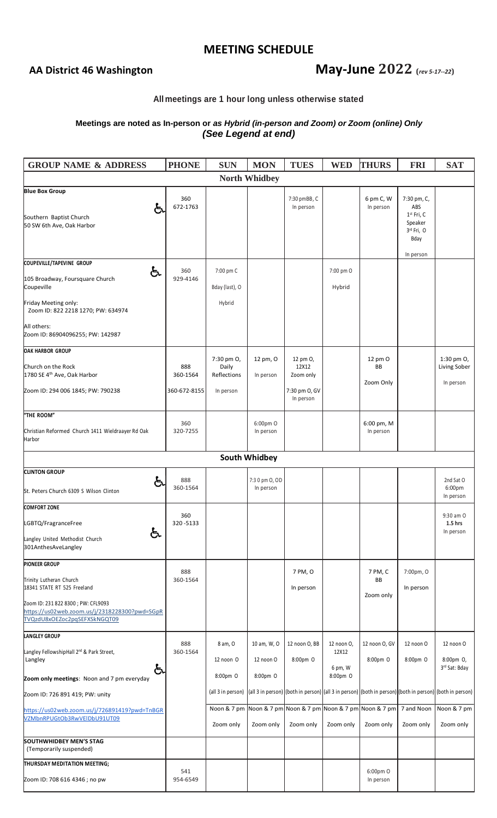### **MEETING SCHEDULE**

# AA District 46 Washington **May-June** 2022 **(rev** *5-17--22*)

### **All meetings are 1 hour long unless otherwise stated**

### **Meetings are noted as In-person or** *as Hybrid (in-person and Zoom) or Zoom (online) Only (See Legend at end)*

| <b>GROUP NAME &amp; ADDRESS</b>                                                                                                                                                                        | <b>PHONE</b>                    | <b>SUN</b>                                            | <b>MON</b>                           | <b>TUES</b>                                                              | <b>WED</b>                                 | <b>THURS</b>               | <b>FRI</b>                                                          | <b>SAT</b>                                                                                                                                         |
|--------------------------------------------------------------------------------------------------------------------------------------------------------------------------------------------------------|---------------------------------|-------------------------------------------------------|--------------------------------------|--------------------------------------------------------------------------|--------------------------------------------|----------------------------|---------------------------------------------------------------------|----------------------------------------------------------------------------------------------------------------------------------------------------|
| <b>North Whidbey</b>                                                                                                                                                                                   |                                 |                                                       |                                      |                                                                          |                                            |                            |                                                                     |                                                                                                                                                    |
| <b>Blue Box Group</b><br>と<br>Southern Baptist Church<br>50 SW 6th Ave, Oak Harbor                                                                                                                     | 360<br>672-1763                 |                                                       |                                      | 7:30 pmBB, C<br>In person                                                |                                            | 6 pm C, W<br>In person     | 7:30 pm, C,<br>ABS<br>$1st$ Fri, C<br>Speaker<br>3rd Fri, O<br>Bday |                                                                                                                                                    |
|                                                                                                                                                                                                        |                                 |                                                       |                                      |                                                                          |                                            |                            | In person                                                           |                                                                                                                                                    |
| COUPEVILLE/TAPEVINE GROUP<br>දැ<br>105 Broadway, Foursquare Church<br>Coupeville<br>Friday Meeting only:<br>Zoom ID: 822 2218 1270; PW: 634974<br>All others:<br>Zoom ID: 86904096255; PW: 142987      | 360<br>929-4146                 | 7:00 pm C<br>Bday (last), O<br>Hybrid                 |                                      |                                                                          | 7:00 pm O<br>Hybrid                        |                            |                                                                     |                                                                                                                                                    |
| <b>OAK HARBOR GROUP</b><br>Church on the Rock<br>1780 SE 4 <sup>th</sup> Ave, Oak Harbor<br>Zoom ID: 294 006 1845; PW: 790238                                                                          | 888<br>360-1564<br>360-672-8155 | 7:30 pm O,<br>Daily<br>Reflections<br>In person       | 12 pm, O<br>In person                | 12 pm 0,<br>12X12<br>Zoom only<br>7:30 pm O, GV<br>In person             |                                            | 12 pm O<br>BB<br>Zoom Only |                                                                     | 1:30 pm $Or$<br>Living Sober<br>In person                                                                                                          |
| "THE ROOM"<br>Christian Reformed Church 1411 Wieldraayer Rd Oak<br>Harbor                                                                                                                              | 360<br>320-7255                 |                                                       | 6:00pm O<br>In person                |                                                                          |                                            | 6:00 pm, M<br>In person    |                                                                     |                                                                                                                                                    |
|                                                                                                                                                                                                        |                                 |                                                       | <b>South Whidbey</b>                 |                                                                          |                                            |                            |                                                                     |                                                                                                                                                    |
| <b>CLINTON GROUP</b><br>දු<br>St. Peters Church 6309 S Wilson Clinton                                                                                                                                  | 888<br>360-1564                 |                                                       | 7:3 0 pm O, OD<br>In person          |                                                                          |                                            |                            |                                                                     | 2nd Sat O<br>6:00pm<br>In person                                                                                                                   |
| <b>COMFORT ZONE</b><br>LGBTQ/FragranceFree<br>දු<br>Langley United Methodist Church<br>301AnthesAveLangley                                                                                             | 360<br>320-5133                 |                                                       |                                      |                                                                          |                                            |                            |                                                                     | 9:30 am O<br>$1.5$ hrs<br>In person                                                                                                                |
| <b>PIONEER GROUP</b><br>Trinity Lutheran Church<br>18341 STATE RT 525 Freeland<br>Zoom ID: 231 822 8300 ; PW: CFL9093<br>https://us02web.zoom.us/j/2318228300?pwd=SGpR<br>TVQzdU8xOEZoc2pqSEFXSkNGQT09 | 888<br>360-1564                 |                                                       |                                      | 7 PM, O<br>In person                                                     |                                            | 7 PM, C<br>BB<br>Zoom only | 7:00pm, O<br>In person                                              |                                                                                                                                                    |
| <b>LANGLEY GROUP</b><br>Langley FellowshipHall 2 <sup>nd</sup> & Park Street,<br>Langley<br>දු<br>Zoom only meetings: Noon and 7 pm everyday<br>Zoom ID: 726 891 419; PW: unity                        | 888<br>360-1564                 | 8 am, O<br>12 noon O<br>8:00pm O<br>(all 3 in person) | 10 am, W, O<br>12 noon O<br>8:00pm O | 12 noon O, BB<br>8:00pm O                                                | 12 noon 0,<br>12X12<br>6 pm, W<br>8:00pm O | 12 noon O, GV<br>8:00pm O  | 12 noon O<br>8:00pm O                                               | 12 noon O<br>8:00pm O,<br>3rd Sat: Bday<br>(all 3 in person) (both in person) (all 3 in person) (both in person) (both in person) (both in person) |
| https://us02web.zoom.us/j/726891419?pwd=TnBGR<br>VZMbnRPUGtOb3RwVEIDbU91UT09<br><b>SOUTHWHIDBEY MEN'S STAG</b>                                                                                         |                                 | Zoom only                                             | Zoom only                            | Noon & 7 pm Noon & 7 pm Noon & 7 pm Noon & 7 pm Noon & 7 pm<br>Zoom only | Zoom only                                  | Zoom only                  | 7 and Noon<br>Zoom only                                             | Noon & 7 pm<br>Zoom only                                                                                                                           |
| (Temporarily suspended)                                                                                                                                                                                |                                 |                                                       |                                      |                                                                          |                                            |                            |                                                                     |                                                                                                                                                    |
| THURSDAY MEDITATION MEETING;<br>Zoom ID: 708 616 4346 ; no pw                                                                                                                                          | 541<br>954-6549                 |                                                       |                                      |                                                                          |                                            | 6:00pm O<br>In person      |                                                                     |                                                                                                                                                    |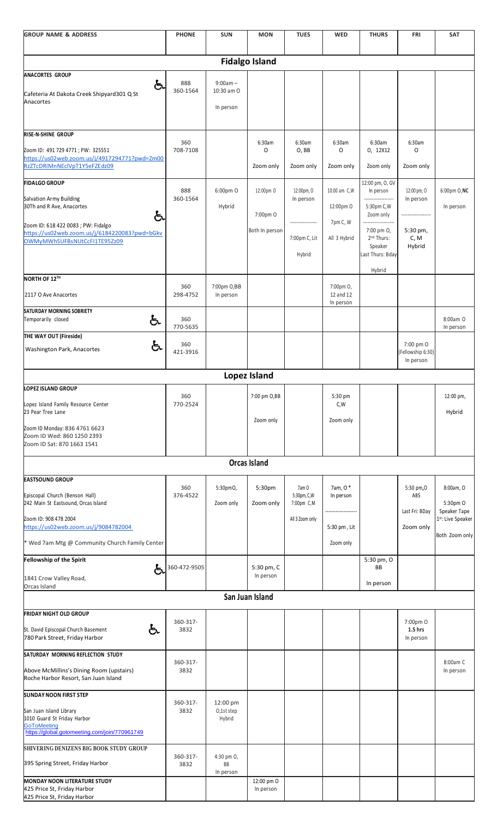| <b>GROUP NAME &amp; ADDRESS</b>                                                                                                                                                                                    | <b>PHONE</b>                       | <b>SUN</b>                            | <b>MON</b>                              | <b>TUES</b>                                            | <b>WED</b>                                            | <b>THURS</b>                                                                                                                                        | <b>FRI</b>                                             | <b>SAT</b>                                                                   |  |
|--------------------------------------------------------------------------------------------------------------------------------------------------------------------------------------------------------------------|------------------------------------|---------------------------------------|-----------------------------------------|--------------------------------------------------------|-------------------------------------------------------|-----------------------------------------------------------------------------------------------------------------------------------------------------|--------------------------------------------------------|------------------------------------------------------------------------------|--|
| <b>Fidalgo Island</b>                                                                                                                                                                                              |                                    |                                       |                                         |                                                        |                                                       |                                                                                                                                                     |                                                        |                                                                              |  |
| <b>ANACORTES GROUP</b><br>දු<br>Cafeteria At Dakota Creek Shipyard301 Q St<br>Anacortes                                                                                                                            | 888<br>360-1564                    | $9:00am -$<br>10:30 am O<br>In person |                                         |                                                        |                                                       |                                                                                                                                                     |                                                        |                                                                              |  |
| RISE-N-SHINE GROUP<br>Zoom ID: 491 729 4771 ; PW: 325551<br>https://us02web.zoom.us/j/4917294771?pwd=Zm00<br>RzZTcDRIMnNEclVpT1Y5eFZEdz09                                                                          | 360<br>708-7108                    |                                       | 6:30am<br>O<br>Zoom only                | 6:30am<br>O, BB<br>Zoom only                           | 6:30am<br>0<br>Zoom only                              | 6:30am<br>0, 12X12<br>Zoom only                                                                                                                     | 6:30am<br>O<br>Zoom only                               |                                                                              |  |
| <b>FIDALGO GROUP</b><br>Salvation Army Building<br>30Th and R Ave, Anacortes<br>දු<br>Zoom ID: 618 422 0083 ; PW: Fidalgo<br>https://us02web.zoom.us/j/6184220083?pwd=bGkv<br>OWMyMWhSUFBsNUtCcFI1TE95Zz09         | 888<br>360-1564                    | 6:00pm O<br>Hybrid                    | 12:00pm O<br>7:00pm O<br>Both In person | 12:00pm, O<br>In person<br>7:00pm C, Lit<br>Hybrid     | 10:00 am C,W<br>12:00pm O<br>7pm C, W<br>All 3 Hybrid | 12:00 pm, O, GV<br>In person<br><br>5:30pm C, W<br>Zoom only<br>------------<br>7:00 pm O,<br>2 <sup>nd</sup> Thurs:<br>Speaker<br>Last Thurs: Bday | 12:00 pm, O<br>In person<br>5:30 pm,<br>C, M<br>Hybrid | 6:00pm O, NC<br>In person                                                    |  |
| NORTH OF 12TH<br>2117 O Ave Anacortes                                                                                                                                                                              | 360<br>298-4752                    | 7:00pm O,BB<br>In person              |                                         |                                                        | 7:00pm O,<br>12 and 12                                | Hybrid                                                                                                                                              |                                                        |                                                                              |  |
| <b>SATURDAY MORNING SOBRIETY</b><br>දැ<br>Temporarily closed<br>THE WAY OUT (Fireside)<br>දැ<br><b>Washington Park, Anacortes</b>                                                                                  | 360<br>770-5635<br>360<br>421-3916 |                                       |                                         |                                                        | In person                                             |                                                                                                                                                     | 7:00 pm O<br>(Fellowship 6:30)<br>In person            | 8:00am O<br>In person                                                        |  |
|                                                                                                                                                                                                                    |                                    |                                       | Lopez Island                            |                                                        |                                                       |                                                                                                                                                     |                                                        |                                                                              |  |
| <b>LOPEZ ISLAND GROUP</b><br>Lopez Island Family Resource Center<br>23 Pear Tree Lane<br>Zoom ID Monday: 836 4761 6623<br>Zoom ID Wed: 860 1250 2393<br>Zoom ID Sat: 870 1663 1541                                 | 360<br>770-2524                    |                                       | 7:00 pm O,BB<br>Zoom only               |                                                        | 5:30 pm<br>C,W<br>Zoom only                           |                                                                                                                                                     |                                                        | 12:00 pm,<br>Hybrid                                                          |  |
|                                                                                                                                                                                                                    |                                    |                                       | <b>Orcas Island</b>                     |                                                        |                                                       |                                                                                                                                                     |                                                        |                                                                              |  |
| <b>EASTSOUND GROUP</b><br>Episcopal Church (Benson Hall)<br>242 Main St Eastsound, Orcas Island<br>Zoom ID: 908 478 2004<br>https://us02web.zoom.us/j/9084782004<br>* Wed 7am Mtg @ Community Church Family Center | 360<br>376-4522                    | 5:30pmO,<br>Zoom only                 | 5:30pm<br>Zoom only                     | 7am O<br>5:30pm, C, W<br>7:00pm C,M<br>All 3 Zoom only | 7am, 0 *<br>In person<br>5:30 pm, Lit<br>Zoom only    |                                                                                                                                                     | 5:30 pm, 0<br>ABS<br>Last Fri: BDay<br>Zoom only       | 8:00am, O<br>5:30pm O<br>Speaker Tape<br>1st: Live Speaker<br>Both Zoom only |  |
| Fellowship of the Spirit<br>දු<br>1841 Crow Valley Road,<br>Orcas Island                                                                                                                                           | 360-472-9505                       |                                       | 5:30 pm, C<br>In person                 |                                                        |                                                       | 5:30 pm, O<br>BB<br>In person                                                                                                                       |                                                        |                                                                              |  |
| San Juan Island                                                                                                                                                                                                    |                                    |                                       |                                         |                                                        |                                                       |                                                                                                                                                     |                                                        |                                                                              |  |
| <b>FRIDAY NIGHT OLD GROUP</b><br>දැ<br>St. David Episcopal Church Basement<br>780 Park Street, Friday Harbor                                                                                                       | 360-317-<br>3832                   |                                       |                                         |                                                        |                                                       |                                                                                                                                                     | 7:00pm O<br>$1.5$ hrs<br>In person                     |                                                                              |  |
| SATURDAY MORNING REFLECTION STUDY<br>Above McMillins's Dining Room (upstairs)<br>Roche Harbor Resort, San Juan Island                                                                                              | 360-317-<br>3832                   |                                       |                                         |                                                        |                                                       |                                                                                                                                                     |                                                        | 8:00am C<br>In person                                                        |  |
| <b>SUNDAY NOON FIRST STEP</b><br>San Juan Island Library<br>1010 Guard St Friday Harbor<br><b>GoToMeeting</b><br>https://global.gotomeeting.com/join/770961749                                                     | 360-317-<br>3832                   | 12:00 pm<br>O,1st step<br>Hybrid      |                                         |                                                        |                                                       |                                                                                                                                                     |                                                        |                                                                              |  |
| SHIVERING DENIZENS BIG BOOK STUDY GROUP<br>395 Spring Street, Friday Harbor<br><b>MONDAY NOON LITERATURE STUDY</b><br>425 Price St, Friday Harbor<br>425 Price St, Friday Harbor                                   | 360-317-<br>3832                   | 4:30 pm O,<br>ВB<br>In person         | 12:00 pm O<br>In person                 |                                                        |                                                       |                                                                                                                                                     |                                                        |                                                                              |  |